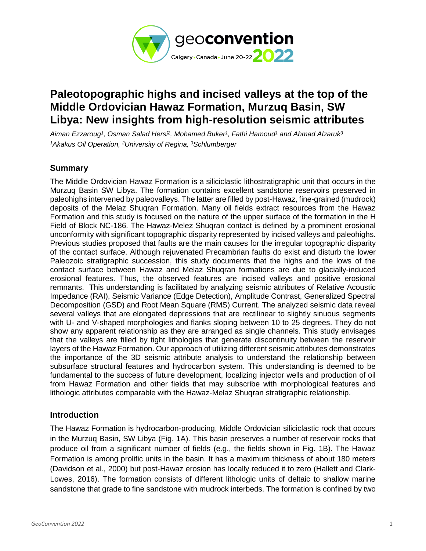

# **Paleotopographic highs and incised valleys at the top of the Middle Ordovician Hawaz Formation, Murzuq Basin, SW Libya: New insights from high-resolution seismic attributes**

*Aiman Ezzaroug<sup>1</sup> , Osman Salad Hersi<sup>2</sup> , Mohamed Buker<sup>1</sup> , Fathi Hamoud<sup>1</sup> and Ahmad Alzaruk<sup>3</sup> <sup>1</sup>Akakus Oil Operation, <sup>2</sup>University of Regina, <sup>3</sup>Schlumberger*

# **Summary**

The Middle Ordovician Hawaz Formation is a siliciclastic lithostratigraphic unit that occurs in the Murzuq Basin SW Libya. The formation contains excellent sandstone reservoirs preserved in paleohighs intervened by paleovalleys. The latter are filled by post-Hawaz, fine-grained (mudrock) deposits of the Melaz Shuqran Formation. Many oil fields extract resources from the Hawaz Formation and this study is focused on the nature of the upper surface of the formation in the H Field of Block NC-186. The Hawaz-Melez Shuqran contact is defined by a prominent erosional unconformity with significant topographic disparity represented by incised valleys and paleohighs. Previous studies proposed that faults are the main causes for the irregular topographic disparity of the contact surface. Although rejuvenated Precambrian faults do exist and disturb the lower Paleozoic stratigraphic succession, this study documents that the highs and the lows of the contact surface between Hawaz and Melaz Shuqran formations are due to glacially-induced erosional features. Thus, the observed features are incised valleys and positive erosional remnants. This understanding is facilitated by analyzing seismic attributes of Relative Acoustic Impedance (RAI), Seismic Variance (Edge Detection), Amplitude Contrast, Generalized Spectral Decomposition (GSD) and Root Mean Square (RMS) Current. The analyzed seismic data reveal several valleys that are elongated depressions that are rectilinear to slightly sinuous segments with U- and V-shaped morphologies and flanks sloping between 10 to 25 degrees. They do not show any apparent relationship as they are arranged as single channels. This study envisages that the valleys are filled by tight lithologies that generate discontinuity between the reservoir layers of the Hawaz Formation. Our approach of utilizing different seismic attributes demonstrates the importance of the 3D seismic attribute analysis to understand the relationship between subsurface structural features and hydrocarbon system. This understanding is deemed to be fundamental to the success of future development, localizing injector wells and production of oil from Hawaz Formation and other fields that may subscribe with morphological features and lithologic attributes comparable with the Hawaz-Melaz Shuqran stratigraphic relationship.

# **Introduction**

The Hawaz Formation is hydrocarbon-producing, Middle Ordovician siliciclastic rock that occurs in the Murzuq Basin, SW Libya (Fig. 1A). This basin preserves a number of reservoir rocks that produce oil from a significant number of fields (e.g., the fields shown in Fig. 1B). The Hawaz Formation is among prolific units in the basin. It has a maximum thickness of about 180 meters (Davidson et al., 2000) but post-Hawaz erosion has locally reduced it to zero (Hallett and Clark-Lowes, 2016). The formation consists of different lithologic units of deltaic to shallow marine sandstone that grade to fine sandstone with mudrock interbeds. The formation is confined by two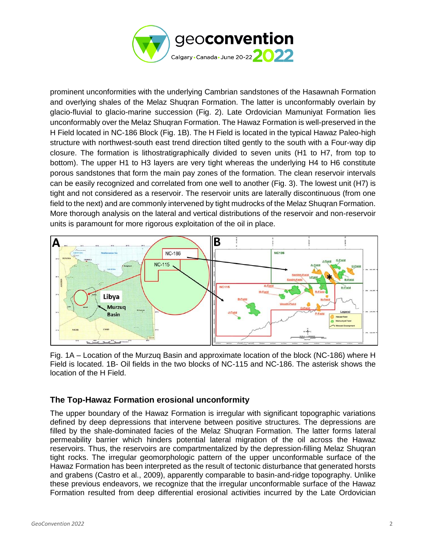

prominent unconformities with the underlying Cambrian sandstones of the Hasawnah Formation and overlying shales of the Melaz Shuqran Formation. The latter is unconformably overlain by glacio-fluvial to glacio-marine succession (Fig. 2). Late Ordovician Mamuniyat Formation lies unconformably over the Melaz Shuqran Formation. The Hawaz Formation is well-preserved in the H Field located in NC-186 Block (Fig. 1B). The H Field is located in the typical Hawaz Paleo-high structure with northwest-south east trend direction tilted gently to the south with a Four-way dip closure. The formation is lithostratigraphically divided to seven units (H1 to H7, from top to bottom). The upper H1 to H3 layers are very tight whereas the underlying H4 to H6 constitute porous sandstones that form the main pay zones of the formation. The clean reservoir intervals can be easily recognized and correlated from one well to another (Fig. 3). The lowest unit (H7) is tight and not considered as a reservoir. The reservoir units are laterally discontinuous (from one field to the next) and are commonly intervened by tight mudrocks of the Melaz Shuqran Formation. More thorough analysis on the lateral and vertical distributions of the reservoir and non-reservoir units is paramount for more rigorous exploitation of the oil in place.



Fig. 1A – Location of the Murzuq Basin and approximate location of the block (NC-186) where H Field is located. 1B- Oil fields in the two blocks of NC-115 and NC-186. The asterisk shows the location of the H Field.

# **The Top-Hawaz Formation erosional unconformity**

The upper boundary of the Hawaz Formation is irregular with significant topographic variations defined by deep depressions that intervene between positive structures. The depressions are filled by the shale-dominated facies of the Melaz Shuqran Formation. The latter forms lateral permeability barrier which hinders potential lateral migration of the oil across the Hawaz reservoirs. Thus, the reservoirs are compartmentalized by the depression-filling Melaz Shuqran tight rocks. The irregular geomorphologic pattern of the upper unconformable surface of the Hawaz Formation has been interpreted as the result of tectonic disturbance that generated horsts and grabens (Castro et al., 2009), apparently comparable to basin-and-ridge topography. Unlike these previous endeavors, we recognize that the irregular unconformable surface of the Hawaz Formation resulted from deep differential erosional activities incurred by the Late Ordovician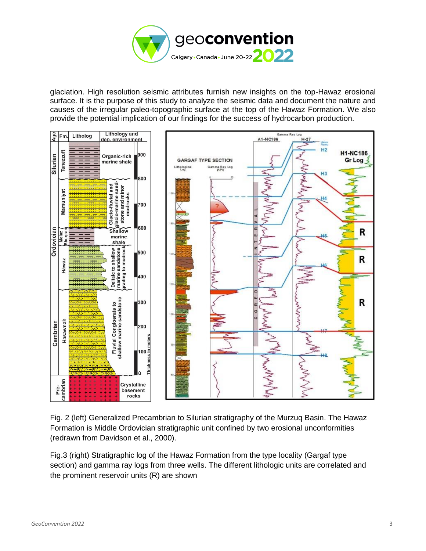

glaciation. High resolution seismic attributes furnish new insights on the top-Hawaz erosional surface. It is the purpose of this study to analyze the seismic data and document the nature and causes of the irregular paleo-topographic surface at the top of the Hawaz Formation. We also provide the potential implication of our findings for the success of hydrocarbon production.



Fig. 2 (left) Generalized Precambrian to Silurian stratigraphy of the Murzuq Basin. The Hawaz Formation is Middle Ordovician stratigraphic unit confined by two erosional unconformities (redrawn from Davidson et al., 2000).

Fig.3 (right) Stratigraphic log of the Hawaz Formation from the type locality (Gargaf type section) and gamma ray logs from three wells. The different lithologic units are correlated and the prominent reservoir units (R) are shown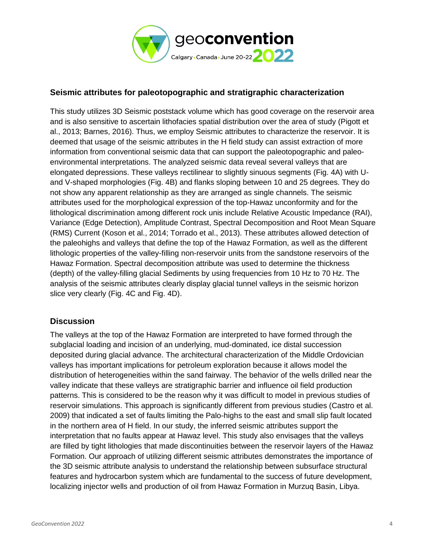

# **Seismic attributes for paleotopographic and stratigraphic characterization**

This study utilizes 3D Seismic poststack volume which has good coverage on the reservoir area and is also sensitive to ascertain lithofacies spatial distribution over the area of study (Pigott et al., 2013; Barnes, 2016). Thus, we employ Seismic attributes to characterize the reservoir. It is deemed that usage of the seismic attributes in the H field study can assist extraction of more information from conventional seismic data that can support the paleotopographic and paleoenvironmental interpretations. The analyzed seismic data reveal several valleys that are elongated depressions. These valleys rectilinear to slightly sinuous segments (Fig. 4A) with Uand V-shaped morphologies (Fig. 4B) and flanks sloping between 10 and 25 degrees. They do not show any apparent relationship as they are arranged as single channels. The seismic attributes used for the morphological expression of the top-Hawaz unconformity and for the lithological discrimination among different rock unis include Relative Acoustic Impedance (RAI), Variance (Edge Detection), Amplitude Contrast, Spectral Decomposition and Root Mean Square (RMS) Current (Koson et al., 2014; Torrado et al., 2013). These attributes allowed detection of the paleohighs and valleys that define the top of the Hawaz Formation, as well as the different lithologic properties of the valley-filling non-reservoir units from the sandstone reservoirs of the Hawaz Formation. Spectral decomposition attribute was used to determine the thickness (depth) of the valley-filling glacial Sediments by using frequencies from 10 Hz to 70 Hz. The analysis of the seismic attributes clearly display glacial tunnel valleys in the seismic horizon slice very clearly (Fig. 4C and Fig. 4D).

# **Discussion**

The valleys at the top of the Hawaz Formation are interpreted to have formed through the subglacial loading and incision of an underlying, mud-dominated, ice distal succession deposited during glacial advance. The architectural characterization of the Middle Ordovician valleys has important implications for petroleum exploration because it allows model the distribution of heterogeneities within the sand fairway. The behavior of the wells drilled near the valley indicate that these valleys are stratigraphic barrier and influence oil field production patterns. This is considered to be the reason why it was difficult to model in previous studies of reservoir simulations. This approach is significantly different from previous studies (Castro et al. 2009) that indicated a set of faults limiting the Palo-highs to the east and small slip fault located in the northern area of H field. In our study, the inferred seismic attributes support the interpretation that no faults appear at Hawaz level. This study also envisages that the valleys are filled by tight lithologies that made discontinuities between the reservoir layers of the Hawaz Formation. Our approach of utilizing different seismic attributes demonstrates the importance of the 3D seismic attribute analysis to understand the relationship between subsurface structural features and hydrocarbon system which are fundamental to the success of future development, localizing injector wells and production of oil from Hawaz Formation in Murzuq Basin, Libya.